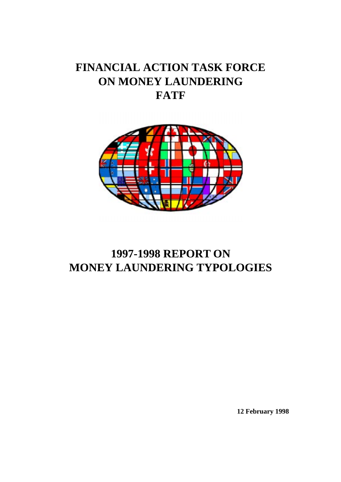# **FINANCIAL ACTION TASK FORCE ON MONEY LAUNDERING FATF**



# **1997-1998 REPORT ON MONEY LAUNDERING TYPOLOGIES**

**12 February 1998**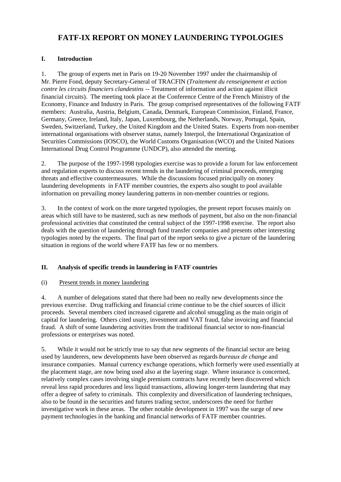# **FATF-IX REPORT ON MONEY LAUNDERING TYPOLOGIES**

# **I. Introduction**

1. The group of experts met in Paris on 19-20 November 1997 under the chairmanship of Mr. Pierre Fond, deputy Secretary-General of TRACFIN (*Traitement du renseignement et action contre les circuits financiers clandestins* -- Treatment of information and action against illicit financial circuits). The meeting took place at the Conference Centre of the French Ministry of the Economy, Finance and Industry in Paris. The group comprised representatives of the following FATF members: Australia, Austria, Belgium, Canada, Denmark, European Commission, Finland, France, Germany, Greece, Ireland, Italy, Japan, Luxembourg, the Netherlands, Norway, Portugal, Spain, Sweden, Switzerland, Turkey, the United Kingdom and the United States. Experts from non-member international organisations with observer status, namely Interpol, the International Organization of Securities Commissions (IOSCO), the World Customs Organisation (WCO) and the United Nations International Drug Control Programme (UNDCP), also attended the meeting.

2. The purpose of the 1997-1998 typologies exercise was to provide a forum for law enforcement and regulation experts to discuss recent trends in the laundering of criminal proceeds, emerging threats and effective countermeasures. While the discussions focused principally on money laundering developments in FATF member countries, the experts also sought to pool available information on prevailing money laundering patterns in non-member countries or regions.

3. In the context of work on the more targeted typologies, the present report focuses mainly on areas which still have to be mastered, such as new methods of payment, but also on the non-financial professional activities that constituted the central subject of the 1997-1998 exercise. The report also deals with the question of laundering through fund transfer companies and presents other interesting typologies noted by the experts. The final part of the report seeks to give a picture of the laundering situation in regions of the world where FATF has few or no members.

# **II. Analysis of specific trends in laundering in FATF countries**

# (i) Present trends in money laundering

4. A number of delegations stated that there had been no really new developments since the previous exercise. Drug trafficking and financial crime continue to be the chief sources of illicit proceeds. Several members cited increased cigarette and alcohol smuggling as the main origin of capital for laundering. Others cited usury, investment and VAT fraud, false invoicing and financial fraud. A shift of some laundering activities from the traditional financial sector to non-financial professions or enterprises was noted.

5. While it would not be strictly true to say that new segments of the financial sector are being used by launderers, new developments have been observed as regards *bureaux de change* and insurance companies. Manual currency exchange operations, which formerly were used essentially at the placement stage, are now being used also at the layering stage. Where insurance is concerned, relatively complex cases involving single premium contracts have recently been discovered which reveal less rapid procedures and less liquid transactions, allowing longer-term laundering that may offer a degree of safety to criminals. This complexity and diversification of laundering techniques, also to be found in the securities and futures trading sector, underscores the need for further investigative work in these areas. The other notable development in 1997 was the surge of new payment technologies in the banking and financial networks of FATF member countries.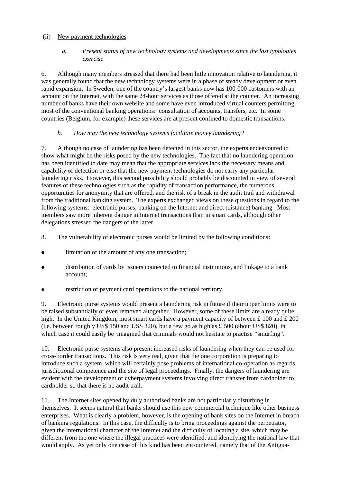# (ii) New payment technologies

# *a. Present status of new technology systems and developments since the last typologies exercise*

6. Although many members stressed that there had been little innovation relative to laundering, it was generally found that the new technology systems were in a phase of steady development or even rapid expansion. In Sweden, one of the country's largest banks now has 100 000 customers with an account on the Internet, with the same 24-hour services as those offered at the counter. An increasing number of banks have their own website and some have even introduced virtual counters permitting most of the conventional banking operations: consultation of accounts, transfers, etc. In some countries (Belgium, for example) these services are at present confined to domestic transactions.

# *b. How may the new technology systems facilitate money laundering?*

7. Although no case of laundering has been detected in this sector, the experts endeavoured to show what might be the risks posed by the new technologies. The fact that no laundering operation has been identified to date may mean that the appropriate services lack the necessary means and capability of detection or else that the new payment technologies do not carry any particular laundering risks. However, this second possibility should probably be discounted in view of several features of these technologies such as the rapidity of transaction performance, the numerous opportunities for anonymity that are offered, and the risk of a break in the audit trail and withdrawal from the traditional banking system. The experts exchanged views on these questions in regard to the following systems: electronic purses, banking on the Internet and direct (distance) banking. Most members saw more inherent danger in Internet transactions than in smart cards, although other delegations stressed the dangers of the latter.

- 8. The vulnerability of electronic purses would be limited by the following conditions:
- $\bullet$ limitation of the amount of any one transaction;
- **l**  distribution of cards by issuers connected to financial institutions, and linkage to a bank account;
- $\bullet$ restriction of payment card operations to the national territory.

9. Electronic purse systems would present a laundering risk in future if their upper limits were to be raised substantially or even removed altogether. However, some of these limits are already quite high. In the United Kingdom, most smart cards have a payment capacity of between £ 100 and £ 200 (i.e. between roughly US\$ 150 and US\$ 320), but a few go as high as  $\pounds$  500 (about US\$ 820), in which case it could easily be imagined that criminals would not hesitate to practise "smurfing".

10. Electronic purse systems also present increased risks of laundering when they can be used for cross-border transactions. This risk is very real, given that the one corporation is preparing to introduce such a system, which will certainly pose problems of international co-operation as regards jurisdictional competence and the site of legal proceedings. Finally, the dangers of laundering are evident with the development of cyberpayment systems involving direct transfer from cardholder to cardholder so that there is no audit trail.

11. The Internet sites opened by duly authorised banks are not particularly disturbing in themselves. It seems natural that banks should use this new commercial technique like other business enterprises. What is clearly a problem, however, is the opening of bank sites on the Internet in breach of banking regulations. In this case, the difficulty is to bring proceedings against the perpetrator, given the international character of the Internet and the difficulty of locating a site, which may be different from the one where the illegal practices were identified, and identifying the national law that would apply. As yet only one case of this kind has been encountered, namely that of the Antigua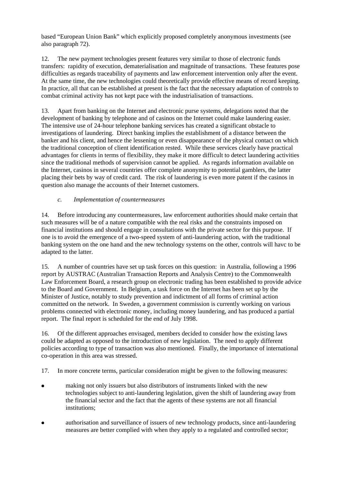based "European Union Bank" which explicitly proposed completely anonymous investments (see also paragraph 72).

12. The new payment technologies present features very similar to those of electronic funds transfers: rapidity of execution, dematerialisation and magnitude of transactions. These features pose difficulties as regards traceability of payments and law enforcement intervention only after the event. At the same time, the new technologies could theoretically provide effective means of record keeping. In practice, all that can be established at present is the fact that the necessary adaptation of controls to combat criminal activity has not kept pace with the industrialisation of transactions.

13. Apart from banking on the Internet and electronic purse systems, delegations noted that the development of banking by telephone and of casinos on the Internet could make laundering easier. The intensive use of 24-hour telephone banking services has created a significant obstacle to investigations of laundering. Direct banking implies the establishment of a distance between the banker and his client, and hence the lessening or even disappearance of the physical contact on which the traditional conception of client identification rested. While these services clearly have practical advantages for clients in terms of flexibility, they make it more difficult to detect laundering activities since the traditional methods of supervision cannot be applied. As regards information available on the Internet, casinos in several countries offer complete anonymity to potential gamblers, the latter placing their bets by way of credit card. The risk of laundering is even more patent if the casinos in question also manage the accounts of their Internet customers.

# *c. Implementation of countermeasures*

14. Before introducing any countermeasures, law enforcement authorities should make certain that such measures will be of a nature compatible with the real risks and the constraints imposed on financial institutions and should engage in consultations with the private sector for this purpose. If one is to avoid the emergence of a two-speed system of anti-laundering action, with the traditional banking system on the one hand and the new technology systems on the other, controls will havc to be adapted to the latter.

15. A number of countries have set up task forces on this question: in Australia, following a 1996 report by AUSTRAC (Australian Transaction Reports and Analysis Centre) to the Commonwealth Law Enforcement Board, a research group on electronic trading has been established to provide advice to the Board and Government. In Belgium, a task force on the Internet has been set up by the Minister of Justice, notably to study prevention and indictment of all forms of criminal action committed on the network. In Sweden, a government commission is currently working on various problems connected with electronic money, including money laundering, and has produced a partial report. The final report is scheduled for the end of July 1998.

16. Of the different approaches envisaged, members decided to consider how the existing laws could be adapted as opposed to the introduction of new legislation. The need to apply different policies according to type of transaction was also mentioned. Finally, the importance of international co-operation in this area was stressed.

17. In more concrete terms, particular consideration might be given to the following measures:

- **l**  making not only issuers but also distributors of instruments linked with the new technologies subject to anti-laundering legislation, given the shift of laundering away from the financial sector and the fact that the agents of these systems are not all financial institutions;
- **l**  authorisation and surveillance of issuers of new technology products, since anti-laundering measures are better complied with when they apply to a regulated and controlled sector;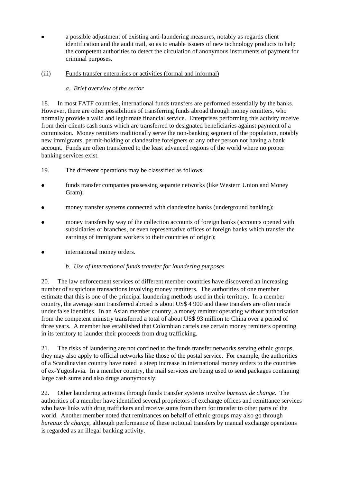**l**  a possible adjustment of existing anti-laundering measures, notably as regards client identification and the audit trail, so as to enable issuers of new technology products to help the competent authorities to detect the circulation of anonymous instruments of payment for criminal purposes.

# (iii) Funds transfer enterprises or activities (formal and informal)

# *a. Brief overview of the sector*

18. In most FATF countries, international funds transfers are performed essentially by the banks. However, there are other possibilities of transferring funds abroad through money remitters, who normally provide a valid and legitimate financial service. Enterprises performing this activity receive from their clients cash sums which are transferred to designated beneficiaries against payment of a commission. Money remitters traditionally serve the non-banking segment of the population, notably new immigrants, permit-holding or clandestine foreigners or any other person not having a bank account. Funds are often transferred to the least advanced regions of the world where no proper banking services exist.

- 19. The different operations may be classsified as follows:
- l funds transfer companies possessing separate networks (like Western Union and Money Gram);
- **l** money transfer systems connected with clandestine banks (underground banking);
- **l**  money transfers by way of the collection accounts of foreign banks (accounts opened with subsidiaries or branches, or even representative offices of foreign banks which transfer the earnings of immigrant workers to their countries of origin);
- $\bullet$ international money orders.

# *b. Use of international funds transfer for laundering purposes*

20. The law enforcement services of different member countries have discovered an increasing number of suspicious transactions involving money remitters. The authorities of one member estimate that this is one of the principal laundering methods used in their territory. In a member country, the average sum transferred abroad is about US\$ 4 900 and these transfers are often made under false identities. In an Asian member country, a money remitter operating without authorisation from the competent ministry transferred a total of about US\$ 93 million to China over a period of three years. A member has established that Colombian cartels use certain money remitters operating in its territory to launder their proceeds from drug trafficking.

21. The risks of laundering are not confined to the funds transfer networks serving ethnic groups, they may also apply to official networks like those of the postal service. For example, the authorities of a Scandinavian country have noted a steep increase in international money orders to the countries of ex-Yugoslavia. In a member country, the mail services are being used to send packages containing large cash sums and also drugs anonymously.

22. Other laundering activities through funds transfer systems involve *bureaux de change*. The authorities of a member have identified several proprietors of exchange offices and remittance services who have links with drug traffickers and receive sums from them for transfer to other parts of the world. Another member noted that remittances on behalf of ethnic groups may also go through *bureaux de change*, although performance of these notional transfers by manual exchange operations is regarded as an illegal banking activity.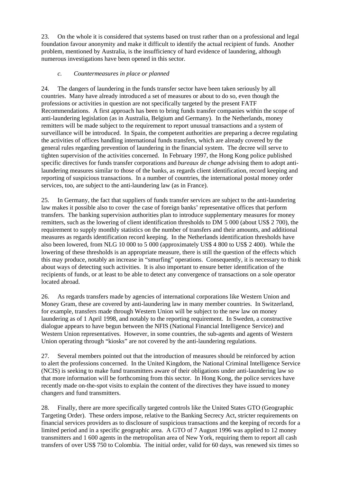23. On the whole it is considered that systems based on trust rather than on a professional and legal foundation favour anonymity and make it difficult to identify the actual recipient of funds. Another problem, mentioned by Australia, is the insufficiency of hard evidence of laundering, although numerous investigations have been opened in this sector.

# *c. Countermeasures in place or planned*

24. The dangers of laundering in the funds transfer sector have been taken seriously by all countries. Many have already introduced a set of measures or about to do so, even though the professions or activities in question are not specifically targeted by the present FATF Recommendations. A first approach has been to bring funds transfer companies within the scope of anti-laundering legislation (as in Australia, Belgium and Germany). In the Netherlands, money remitters will be made subject to the requirement to report unusual transactions and a system of surveillance will be introduced. In Spain, the competent authorities are preparing a decree regulating the activities of offices handling international funds transfers, which are already covered by the general rules regarding prevention of laundering in the financial system. The decree will serve to tighten supervision of the activities concerned. In February 1997, the Hong Kong police published specific directives for funds transfer corporations and *bureaux de change* advising them to adopt antilaundering measures similar to those of the banks, as regards client identification, record keeping and reporting of suspicious transactions. In a number of countries, the international postal money order services, too, are subject to the anti-laundering law (as in France).

25. In Germany, the fact that suppliers of funds transfer services are subject to the anti-laundering law makes it possible also to cover the case of foreign banks' representative offices that perform transfers. The banking supervision authorities plan to introduce supplementary measures for money remitters, such as the lowering of client identification thresholds to DM 5 000 (about US\$ 2 700), the requirement to supply monthly statistics on the number of transfers and their amounts, and additional measures as regards identification record keeping. In the Netherlands identification thresholds have also been lowered, from NLG 10 000 to 5 000 (approximately US\$ 4 800 to US\$ 2 400). While the lowering of these thresholds is an appropriate measure, there is still the question of the effects which this may produce, notably an increase in "smurfing" operations. Consequently, it is necessary to think about ways of detecting such activities. It is also important to ensure better identification of the recipients of funds, or at least to be able to detect any convergence of transactions on a sole operator located abroad.

26. As regards transfers made by agencies of international corporations like Western Union and Money Gram, these are covered by anti-laundering law in many member countries. In Switzerland, for example, transfers made through Western Union will be subject to the new law on money laundering as of 1 April 1998, and notably to the reporting requirement. In Sweden, a constructive dialogue appears to have begun between the NFIS (National Financial Intelligence Service) and Western Union representatives. However, in some countries, the sub-agents and agents of Western Union operating through "kiosks" are not covered by the anti-laundering regulations.

27. Several members pointed out that the introduction of measures should be reinforced by action to alert the professions concerned. In the United Kingdom, the National Criminal Intelligence Service (NCIS) is seeking to make fund transmitters aware of their obligations under anti-laundering law so that more information will be forthcoming from this sector. In Hong Kong, the police services have recently made on-the-spot visits to explain the content of the directives they have issued to money changers and fund transmitters.

28. Finally, there are more specifically targeted controls like the United States GTO (Geographic Targeting Order). These orders impose, relative to the Banking Secrecy Act, stricter requirements on financial services providers as to disclosure of suspicious transactions and the keeping of records for a limited period and in a specific geographic area. A GTO of 7 August 1996 was applied to 12 money transmitters and 1 600 agents in the metropolitan area of New York, requiring them to report all cash transfers of over US\$ 750 to Colombia. The initial order, valid for 60 days, was renewed six times so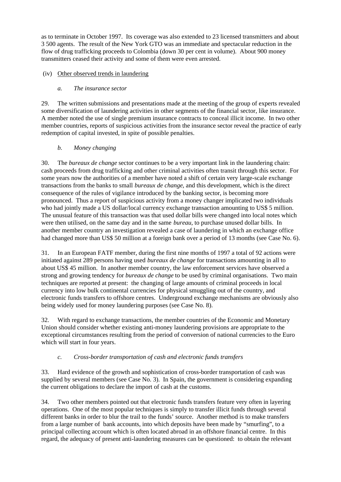as to terminate in October 1997. Its coverage was also extended to 23 licensed transmitters and about 3 500 agents. The result of the New York GTO was an immediate and spectacular reduction in the flow of drug trafficking proceeds to Colombia (down 30 per cent in volume). About 900 money transmitters ceased their activity and some of them were even arrested.

# (iv) Other observed trends in laundering

# *a. The insurance sector*

29. The written submissions and presentations made at the meeting of the group of experts revealed some diversification of laundering activities in other segments of the financial sector, like insurance. A member noted the use of single premium insurance contracts to conceal illicit income. In two other member countries, reports of suspicious activities from the insurance sector reveal the practice of early redemption of capital invested, in spite of possible penalties.

# *b. Money changing*

30. The *bureaux de change* sector continues to be a very important link in the laundering chain: cash proceeds from drug trafficking and other criminal activities often transit through this sector. For some years now the authorities of a member have noted a shift of certain very large-scale exchange transactions from the banks to small *bureaux de change*, and this development, which is the direct consequence of the rules of vigilance introduced by the banking sector, is becoming more pronounced. Thus a report of suspicious activity from a money changer implicated two individuals who had jointly made a US dollar/local currency exchange transaction amounting to US\$ 5 million. The unusual feature of this transaction was that used dollar bills were changed into local notes which were then utilised, on the same day and in the same *bureau*, to purchase unused dollar bills. In another member country an investigation revealed a case of laundering in which an exchange office had changed more than US\$ 50 million at a foreign bank over a period of 13 months (see Case No. 6).

31. In an European FATF member, during the first nine months of 1997 a total of 92 actions were initiated against 289 persons having used *bureaux de change* for transactions amounting in all to about US\$ 45 million. In another member country, the law enforcement services have observed a strong and growing tendency for *bureaux de change* to be used by criminal organisations. Two main techniques are reported at present: the changing of large amounts of criminal proceeds in local currency into low bulk continental currencies for physical smuggling out of the country, and electronic funds transfers to offshore centres. Underground exchange mechanisms are obviously also being widely used for money laundering purposes (see Case No. 8).

32. With regard to exchange transactions, the member countries of the Economic and Monetary Union should consider whether existing anti-money laundering provisions are appropriate to the exceptional circumstances resulting from the period of conversion of national currencies to the Euro which will start in four years.

# *c. Cross-border transportation of cash and electronic funds transfers*

33. Hard evidence of the growth and sophistication of cross-border transportation of cash was supplied by several members (see Case No. 3). In Spain, the government is considering expanding the current obligations to declare the import of cash at the customs.

34. Two other members pointed out that electronic funds transfers feature very often in layering operations. One of the most popular techniques is simply to transfer illicit funds through several different banks in order to blur the trail to the funds' source. Another method is to make transfers from a large number of bank accounts, into which deposits have been made by "smurfing", to a principal collecting account which is often located abroad in an offshore financial centre. In this regard, the adequacy of present anti-laundering measures can be questioned: to obtain the relevant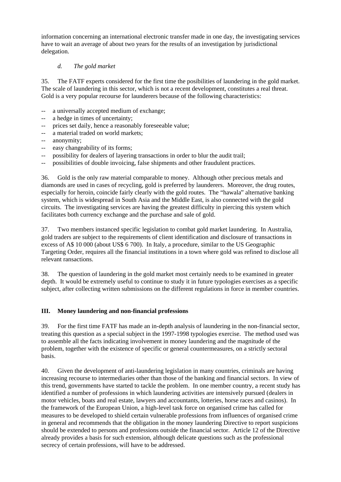information concerning an international electronic transfer made in one day, the investigating services have to wait an average of about two years for the results of an investigation by jurisdictional delegation.

# *d. The gold market*

35. The FATF experts considered for the first time the posibilities of laundering in the gold market. The scale of laundering in this sector, which is not a recent development, constitutes a real threat. Gold is a very popular recourse for launderers because of the following characteristics:

- -- a universally accepted medium of exchange;
- -- a hedge in times of uncertainty;
- -- prices set daily, hence a reasonably foreseeable value;
- -- a material traded on world markets;
- -- anonymity;
- -- easy changeability of its forms;
- -- possibility for dealers of layering transactions in order to blur the audit trail;
- -- possibilities of double invoicing, false shipments and other fraudulent practices.

36. Gold is the only raw material comparable to money. Although other precious metals and diamonds are used in cases of recycling, gold is preferred by launderers. Moreover, the drug routes, especially for heroin, coincide fairly clearly with the gold routes. The "hawala" alternative banking system, which is widespread in South Asia and the Middle East, is also connected with the gold circuits. The investigating services are having the greatest difficulty in piercing this system which facilitates both currency exchange and the purchase and sale of gold.

37. Two members instanced specific legislation to combat gold market laundering. In Australia, gold traders are subject to the requirements of client identification and disclosure of transactions in excess of A\$ 10 000 (about US\$ 6 700). In Italy, a procedure, similar to the US Geographic Targeting Order, requires all the financial institutions in a town where gold was refined to disclose all relevant ransactions.

38. The question of laundering in the gold market most certainly needs to be examined in greater depth. It would be extremely useful to continue to study it in future typologies exercises as a specific subject, after collecting written submissions on the different regulations in force in member countries.

#### **III. Money laundering and non-financial professions**

39. For the first time FATF has made an in-depth analysis of laundering in the non-financial sector, treating this question as a special subject in the 1997-1998 typologies exercise. The method used was to assemble all the facts indicating involvement in money laundering and the magnitude of the problem, together with the existence of specific or general countermeasures, on a strictly sectoral basis.

40. Given the development of anti-laundering legislation in many countries, criminals are having increasing recourse to intermediaries other than those of the banking and financial sectors. In view of this trend, governments have started to tackle the problem. In one member country, a recent study has identified a number of professions in which laundering activities are intensively pursued (dealers in motor vehicles, boats and real estate, lawyers and accountants, lotteries, horse races and casinos). In the framework of the European Union, a high-level task force on organised crime has called for measures to be developed to shield certain vulnerable professions from influences of organised crime in general and recommends that the obligation in the money laundering Directive to report suspicions should be extended to persons and professions outside the financial sector. Article 12 of the Directive already provides a basis for such extension, although delicate questions such as the professional secrecy of certain professions, will have to be addressed.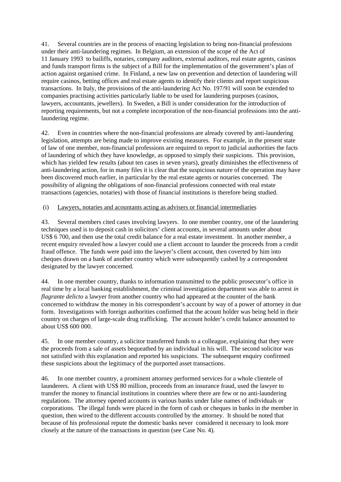41. Several countries are in the process of enacting legislation to bring non-financial professions under their anti-laundering regimes. In Belgium, an extension of the scope of the Act of 11 January 1993 to bailiffs, notaries, company auditors, external auditors, real estate agents, casinos and funds transport firms is the subject of a Bill for the implementation of the government's plan of action against organised crime. In Finland, a new law on prevention and detection of laundering will require casinos, betting offices and real estate agents to identify their clients and report suspicious transactions. In Italy, the provisions of the anti-laundering Act No. 197/91 will soon be extended to companies practising activities particularly liable to be used for laundering purposes (casinos, lawyers, accountants, jewellers). In Sweden, a Bill is under consideration for the introduction of reporting requirements, but not a complete incorporation of the non-financial professions into the antilaundering regime.

42. Even in countries where the non-financial professions are already covered by anti-laundering legislation, attempts are being made to improve existing measures. For example, in the present state of law of one member, non-financial professions are required to report to judicial authorities the facts of laundering of which they have knowledge, as opposed to simply their suspicions. This provision, which has yielded few results (about ten cases in seven years), greatly diminishes the effectiveness of anti-laundering action, for in many files it is clear that the suspicious nature of the operation may have been discovered much earlier, in particular by the real estate agents or notaries concerned. The possibility of aligning the obligations of non-financial professions connected with real estate transactions (agencies, notaries) with those of financial institutions is therefore being studied.

# (i) Lawyers, notaries and acountants acting as advisers or financial intermediaries

43. Several members cited cases involving lawyers. In one member country, one of the laundering techniques used is to deposit cash in solicitors' client accounts, in several amounts under about US\$ 6 700, and then use the total credit balance for a real estate investment. In another member, a recent enquiry revealed how a lawyer could use a client account to launder the proceeds from a credit fraud offence. The funds were paid into the lawyer's client account, then coverted by him into cheques drawn on a bank of another country which were subsequently cashed by a correspondent designated by the lawyer concerned.

44. In one member country, thanks to information transmitted to the public prosecutor's office in real time by a local banking establishment, the criminal investigation department was able to arrest *in flagrante delicto* a lawyer from another country who had appeared at the counter of the bank concerned to withdraw the money in his correspondent's account by way of a power of attorney in due form. Investigations with foreign authorities confirmed that the acount holder was being held in their country on charges of large-scale drug trafficking. The account holder's credit balance amounted to about US\$ 600 000.

45. In one member country, a solicitor transferred funds to a colleague, explaining that they were the proceeds from a sale of assets bequeathed by an individual in his will. The second solicitor was not satisfied with this explanation and reported his suspicions. The subsequent enquiry confirmed these suspicions about the legitimacy of the purported asset transactions.

46. In one member country, a prominent attorney performed services for a whole clientele of launderers. A client with US\$ 80 million, proceeds from an insurance fraud, used the lawyer to transfer the money to financial institutions in countries where there are few or no anti-laundering regulations. The attorney opened accounts in various banks under false names of individuals or corporations. The illegal funds were placed in the form of cash or cheques in banks in the member in question, then wired to the different accounts controlled by the attorney. It should be noted that because of his professional repute the domestic banks never considered it necessary to look more closely at the nature of the transactions in question (see Case No. 4).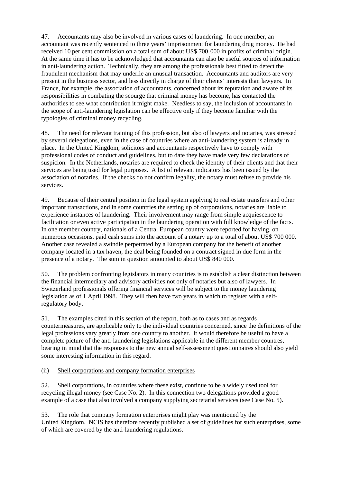47. Accountants may also be involved in various cases of laundering. In one member, an accountant was recently sentenced to three years' imprisonment for laundering drug money. He had received 10 per cent commission on a total sum of about US\$ 700 000 in profits of criminal origin. At the same time it has to be acknowledged that accountants can also be useful sources of information in anti-laundering action. Technically, they are among the professionals best fitted to detect the fraudulent mechanism that may underlie an unusual transaction. Accountants and auditors are very present in the business sector, and less directly in charge of their clients' interests than lawyers. In France, for example, the association of accountants, concerned about its reputation and aware of its responsibilities in combating the scourge that criminal money has become, has contacted the authorities to see what contribution it might make. Needless to say, the inclusion of accountants in the scope of anti-laundering legislation can be effective only if they become familiar with the typologies of criminal money recycling.

48. The need for relevant training of this profession, but also of lawyers and notaries, was stressed by several delegations, even in the case of countries where an anti-laundering system is already in place. In the United Kingdom, solicitors and accountants respectively have to comply with professional codes of conduct and guidelines, but to date they have made very few declarations of suspicion. In the Netherlands, notaries are required to check the identity of their clients and that their services are being used for legal purposes. A list of relevant indicators has been issued by the association of notaries. If the checks do not confirm legality, the notary must refuse to provide his services.

49. Because of their central position in the legal system applying to real estate transfers and other important transactions, and in some countries the setting up of corporations, notaries are liable to experience instances of laundering. Their involvement may range from simple acquiescence to facilitation or even active participation in the laundering operation with full knowledge of the facts. In one member country, nationals of a Central European country were reported for having, on numerous occasions, paid cash sums into the account of a notary up to a total of about US\$ 700 000. Another case revealed a swindle perpetrated by a European company for the benefit of another company located in a tax haven, the deal being founded on a contract signed in due form in the presence of a notary. The sum in question amounted to about US\$ 840 000.

50. The problem confronting legislators in many countries is to establish a clear distinction between the financial intermediary and advisory activities not only of notaries but also of lawyers. In Switzerland professionals offering financial services will be subject to the money laundering legislation as of 1 April 1998. They will then have two years in which to register with a selfregulatory body.

51. The examples cited in this section of the report, both as to cases and as regards countermeasures, are applicable only to the individual countries concerned, since the definitions of the legal professions vary greatly from one country to another. It would therefore be useful to have a complete picture of the anti-laundering legislations applicable in the different member countres, bearing in mind that the responses to the new annual self-assessment questionnaires should also yield some interesting information in this regard.

# (ii) Shell corporations and company formation enterprises

52. Shell corporations, in countries where these exist, continue to be a widely used tool for recycling illegal money (see Case No. 2). In this connection two delegations provided a good example of a case that also involved a company supplying secretarial services (see Case No. 5).

53. The role that company formation enterprises might play was mentioned by the United Kingdom. NCIS has therefore recently published a set of guidelines for such enterprises, some of which are covered by the anti-laundering regulations.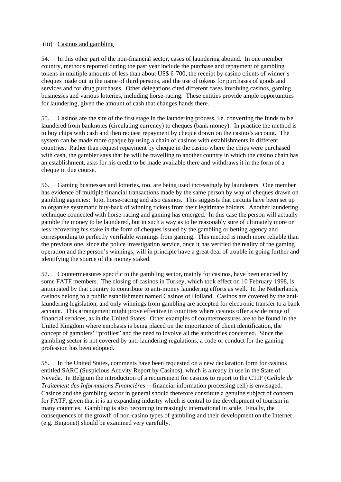# (iii) Casinos and gambling

54. In this other part of the non-financial sector, cases of laundering abound. In one member country, methods reported during the past year include the purchase and repayment of gambling tokens in multiple amounts of less than about US\$ 6 700, the receipt by casino clients of winner's cheques made out in the name of third persons, and the use of tokens for purchases of goods and services and for drug purchases. Other delegations cited different cases involving casinos, gaming businesses and various lotteries, including horse-racing. These entities provide ample opportunities for laundering, given the amount of cash that changes hands there.

55. Casinos are the site of the first stage in the laundering process, i.e. converting the funds to be laundered from banknotes (circulating currency) to cheques (bank money). In practice the method is to buy chips with cash and then request repayment by cheque drawn on the casino's account. The system can be made more opaque by using a chain of casinos with establishments in different countries. Rather than request repayment by cheque in the casino where the chips were purchased with cash, the gambler says that he will be travelling to another country in which the casino chain has an establishment, asks for his credit to be made available there and withdraws it in the form of a cheque in due course.

56. Gaming businesses and lotteries, too, are being used increasingly by launderers. One member has evidence of multiple financial transactions made by the same person by way of cheques drawn on gambling agencies: loto, horse-racing and also casinos. This suggests that circuits have been set up to organise systematic buy-back of winning tickets from their legitimate holders. Another laundering technique connected with horse-racing and gaming has emerged. In this case the person will actually gamble the money to be laundered, but in such a way as to be reasonably sure of ultimately more or less recovering his stake in the form of cheques issued by the gambling or betting agency and corresponding to perfectly verifiable winnings from gaming. This method is much more reliable than the previous one, since the police investigation service, once it has verified the reality of the gaming operation and the person's winnings, will in principle have a great deal of trouble in going further and identifying the source of the money staked.

57. Countermeasures specific to the gambling sector, mainly for casinos, have been enacted by some FATF members. The closing of casinos in Turkey, which took effect on 10 February 1998, is anticipated by that country to contribute to anti-money laundering efforts as well. In the Netherlands, casinos belong to a public establishment named Casinos of Holland. Casinos are covered by the antilaundering legislation, and only winnings from gambling are accepted for electronic transfer to a bank account. This arrangement might prove effective in countries where casinos offer a wide range of financial services, as in the United States. Other examples of countermeasures are to be found in the United Kingdom where emphasis is being placed on the importance of client identification, the concept of gamblers' "profiles" and the need to involve all the authorities concerned. Since the gambling sector is not covered by anti-laundering regulations, a code of conduct for the gaming profession has been adopted.

58. In the United States, comments have been requested on a new declaration form for casinos entitled SARC (Suspicious Activity Report by Casinos), which is already in use in the State of Nevada. In Belgium the introduction of a requirement for casinos to report to the CTIF (*Cellule de Traitement des Informations Financières* -- financial information processing cell) is envisaged. Casinos and the gambling sector in general should therefore constitute a genuine subject of concern for FATF, given that it is an expanding industry which is central to the development of tourism in many countries. Gambling is also becoming increasingly international in scale. Finally, the consequences of the growth of non-casino types of gambling and their development on the Internet (e.g. Bingonet) should be examined very carefully.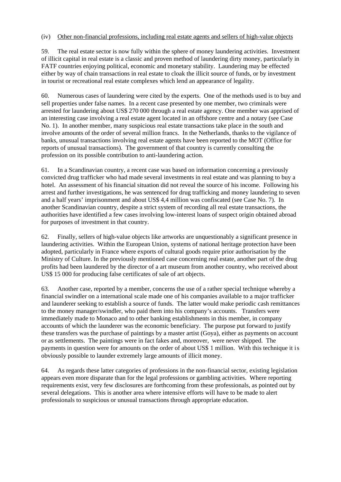#### (iv) Other non-financial professions, including real estate agents and sellers of high-value objects

59. The real estate sector is now fully within the sphere of money laundering activities. Investment of illicit capital in real estate is a classic and proven method of laundering dirty money, particularly in FATF countries enjoying political, economic and monetary stability. Laundering may be effected either by way of chain transactions in real estate to cloak the illicit source of funds, or by investment in tourist or recreational real estate complexes which lend an appearance of legality.

60. Numerous cases of laundering were cited by the experts. One of the methods used is to buy and sell properties under false names. In a recent case presented by one member, two criminals were arrested for laundering about US\$ 270 000 through a real estate agency. One member was apprised of an interesting case involving a real estate agent located in an offshore centre and a notary (see Case No. 1). In another member, many suspicious real estate transactions take place in the south and involve amounts of the order of several million francs. In the Netherlands, thanks to the vigilance of banks, unusual transactions involving real estate agents have been reported to the MOT (Office for reports of unusual transactions). The government of that country is currently consulting the profession on its possible contribution to anti-laundering action.

61. In a Scandinavian country, a recent case was based on information concerning a previously convicted drug trafficker who had made several investments in real estate and was planning to buy a hotel. An assessment of his financial situation did not reveal the source of his income. Following his arrest and further investigations, he was sentenced for drug trafficking and money laundering to seven and a half years' imprisonment and about US\$ 4,4 million was confiscated (see Case No. 7). In another Scandinavian country, despite a strict system of recording all real estate transactions, the authorities have identified a few cases involving low-interest loans of suspect origin obtained abroad for purposes of investment in that country.

62. Finally, sellers of high-value objects like artworks are unquestionably a significant presence in laundering activities. Within the European Union, systems of national heritage protection have been adopted, particularly in France where exports of cultural goods require prior authorisation by the Ministry of Culture. In the previously mentioned case concerning real estate, another part of the drug profits had been laundered by the director of a art museum from another country, who received about US\$ 15 000 for producing false certificates of sale of art objects.

63. Another case, reported by a member, concerns the use of a rather special technique whereby a financial swindler on a international scale made one of his companies available to a major trafficker and launderer seeking to establish a source of funds. The latter would make periodic cash remittances to the money manager/swindler, who paid them into his company's accounts. Transfers were immediately made to Monaco and to other banking establishments in this member, in company accounts of which the launderer was the economic beneficiary. The purpose put forward to justify these transfers was the purchase of paintings by a master artist (Goya), either as payments on account or as settlements. The paintings were in fact fakes and, moreover, were never shipped. The payments in question were for amounts on the order of about US\$ 1 million. With this technique it is obviously possible to launder extremely large amounts of illicit money.

64. As regards these latter categories of professions in the non-financial sector, existing legislation appears even more disparate than for the legal professions or gambling activities. Where reporting requirements exist, very few disclosures are forthcoming from these professionals, as pointed out by several delegations. This is another area where intensive efforts will have to be made to alert professionals to suspicious or unusual transactions through appropriate education.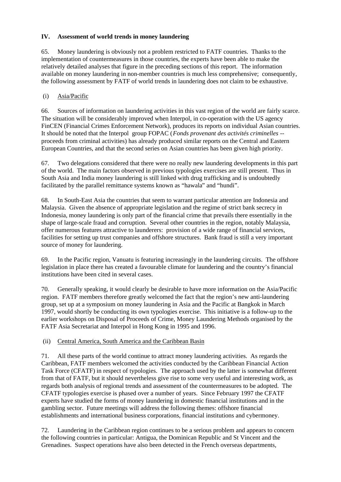# **IV. Assessment of world trends in money laundering**

65. Money laundering is obviously not a problem restricted to FATF countries. Thanks to the implementation of countermeasures in those countries, the experts have been able to make the relatively detailed analyses that figure in the preceding sections of this report. The information available on money laundering in non-member countries is much less comprehensive; consequently, the following assessment by FATF of world trends in laundering does not claim to be exhaustive.

# (i) Asia/Pacific

66. Sources of information on laundering activities in this vast region of the world are fairly scarce. The situation will be considerably improved when Interpol, in co-operation with the US agency FinCEN (Financial Crimes Enforcement Network), produces its reports on individual Asian countries. It should be noted that the Interpol group FOPAC (*Fonds provenant des activités criminelles* - proceeds from criminal activities) has already produced similar reports on the Central and Eastern European Countries, and that the second series on Asian countries has been given high priority.

67. Two delegations considered that there were no really new laundering developments in this part of the world. The main factors observed in previous typologies exercises are still present. Thus in South Asia and India money laundering is still linked with drug trafficking and is undoubtedly facilitated by the parallel remittance systems known as "hawala" and "hundi".

68. In South-East Asia the countries that seem to warrant particular attention are Indonesia and Malaysia. Given the absence of appropriate legislation and the regime of strict bank secrecy in Indonesia, money laundering is only part of the financial crime that prevails there essentially in the shape of large-scale fraud and corruption. Several other countries in the region, notably Malaysia, offer numerous features attractive to launderers: provision of a wide range of financial services, facilities for setting up trust companies and offshore structures. Bank fraud is still a very important source of money for laundering.

69. In the Pacific region, Vanuatu is featuring increasingly in the laundering circuits. The offshore legislation in place there has created a favourable climate for laundering and the country's financial institutions have been cited in several cases.

70. Generally speaking, it would clearly be desirable to have more information on the Asia/Pacific region. FATF members therefore greatly welcomed the fact that the region's new anti-laundering group, set up at a symposium on money laundering in Asia and the Pacific at Bangkok in March 1997, would shortly be conducting its own typologies exercise. This initiative is a follow-up to the earlier workshops on Disposal of Proceeds of Crime, Money Laundering Methods organised by the FATF Asia Secretariat and Interpol in Hong Kong in 1995 and 1996.

# (ii) Central America, South America and the Caribbean Basin

71. All these parts of the world continue to attract money laundering activities. As regards the Caribbean, FATF members welcomed the activities conducted by the Caribbean Financial Action Task Force (CFATF) in respect of typologies. The approach used by the latter is somewhat different from that of FATF, but it should nevertheless give rise to some very useful and interesting work, as regards both analysis of regional trends and assessment of the countermeasures to be adopted. The CFATF typologies exercise is phased over a number of years. Since February 1997 the CFATF experts have studied the forms of money laundering in domestic financial institutions and in the gambling sector. Future meetings will address the following themes: offshore financial establishments and international business corporations, financial institutions and cybermoney.

72. Laundering in the Caribbean region continues to be a serious problem and appears to concern the following countries in particular: Antigua, the Dominican Republic and St Vincent and the Grenadines. Suspect operations have also been detected in the French overseas departments,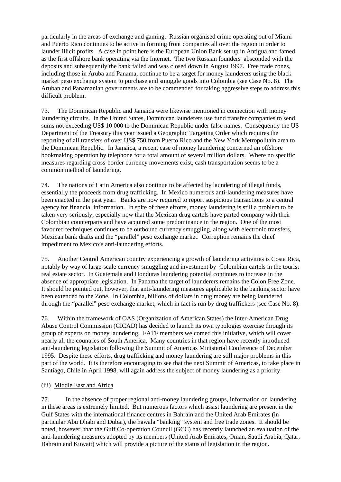particularly in the areas of exchange and gaming. Russian organised crime operating out of Miami and Puerto Rico continues to be active in forming front companies all over the region in order to launder illicit profits. A case in point here is the European Union Bank set up in Antigua and famed as the first offshore bank operating via the Internet. The two Russian founders absconded with the deposits and subsequently the bank failed and was closed down in August 1997. Free trade zones, including those in Aruba and Panama, continue to be a target for money launderers using the black market peso exchange system to purchase and smuggle goods into Colombia (see Case No. 8). The Aruban and Panamanian governments are to be commended for taking aggressive steps to address this difficult problem.

73. The Dominican Republic and Jamaica were likewise mentioned in connection with money laundering circuits. In the United States, Dominican launderers use fund transfer companies to send sums not exceeding US\$ 10 000 to the Dominican Republic under false names. Consequently the US Department of the Treasury this year issued a Geographic Targeting Order which requires the reporting of all transfers of over US\$ 750 from Puerto Rico and the New York Metropolitain area to the Dominican Republic. In Jamaica, a recent case of money laundering concerned an offshore bookmaking operation by telephone for a total amount of several million dollars. Where no specific measures regarding cross-border currency movements exist, cash transportation seems to be a common method of laundering.

74. The nations of Latin America also continue to be affected by laundering of illegal funds, essentially the proceeds from drug trafficking. In Mexico numerous anti-laundering measures have been enacted in the past year. Banks are now required to report suspicious transactions to a central agency for financial information. In spite of these efforts, money laundering is still a problem to be taken very seriously, especially now that the Mexican drug cartels have parted company with their Colombian counterparts and have acquired some predominance in the region. One of the most favoured techniques continues to be outbound currency smuggling, along with electronic transfers, Mexican bank drafts and the "parallel" peso exchange market. Corruption remains the chief impediment to Mexico's anti-laundering efforts.

75. Another Central American country experiencing a growth of laundering activities is Costa Rica, notably by way of large-scale currency smuggling and investment by Colombian cartels in the tourist real estate sector. In Guatemala and Honduras laundering potential continues to increase in the absence of appropriate legislation. In Panama the target of launderers remains the Colon Free Zone. It should be pointed out, however, that anti-laundering measures applicable to the banking sector have been extended to the Zone. In Colombia, billions of dollars in drug money are being laundered through the "parallel" peso exchange market, which in fact is run by drug traffickers (see Case No. 8).

76. Within the framework of OAS (Organization of American States) the Inter-American Drug Abuse Control Commission (CICAD) has decided to launch its own typologies exercise through its group of experts on money laundering. FATF members welcomed this initiative, which will cover nearly all the countries of South America. Many countries in that region have recently introduced anti-laundering legislation following the Summit of Americas Ministerial Conference of December 1995. Despite these efforts, drug trafficking and money laundering are still major problems in this part of the world. It is therefore encouraging to see that the next Summit of Americas, to take place in Santiago, Chile in April 1998, will again address the subject of money laundering as a priority.

# (iii) Middle East and Africa

77. In the absence of proper regional anti-money laundering groups, information on laundering in these areas is extremely limited. But numerous factors which assist laundering are present in the Gulf States with the international finance centres in Bahrain and the United Arab Emirates (in particular Abu Dhabi and Dubai), the hawala "banking" system and free trade zones. It should be noted, however, that the Gulf Co-operation Council (GCC) has recently launched an evaluation of the anti-laundering measures adopted by its members (United Arab Emirates, Oman, Saudi Arabia, Qatar, Bahrain and Kuwait) which will provide a picture of the status of legislation in the region.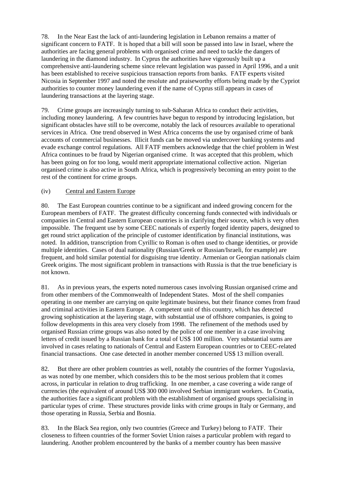78. In the Near East the lack of anti-laundering legislation in Lebanon remains a matter of significant concern to FATF. It is hoped that a bill will soon be passed into law in Israel, where the authorities are facing general problems with organised crime and need to tackle the dangers of laundering in the diamond industry. In Cyprus the authorities have vigorously built up a comprehensive anti-laundering scheme since relevant legislation was passed in April 1996, and a unit has been established to receive suspicious transaction reports from banks. FATF experts visited Nicosia in September 1997 and noted the resolute and praiseworthy efforts being made by the Cypriot authorities to counter money laundering even if the name of Cyprus still appears in cases of laundering transactions at the layering stage.

79. Crime groups are increasingly turning to sub-Saharan Africa to conduct their activities, including money laundering. A few countries have begun to respond by introducing legislation, but significant obstacles have still to be overcome, notably the lack of resources available to operational services in Africa. One trend observed in West Africa concerns the use by organised crime of bank accounts of commercial businesses. Illicit funds can be moved via undercover banking systems and evade exchange control regulations. All FATF members acknowledge that the chief problem in West Africa continues to be fraud by Nigerian organised crime. It was accepted that this problem, which has been going on for too long, would merit appropriate international collective action. Nigerian organised crime is also active in South Africa, which is progressively becoming an entry point to the rest of the continent for crime groups.

# (iv) Central and Eastern Europe

80. The East European countries continue to be a significant and indeed growing concern for the European members of FATF. The greatest difficulty concerning funds connected with individuals or companies in Central and Eastern European countries is in clarifying their source, which is very often impossible. The frequent use by some CEEC nationals of expertly forged identity papers, designed to get round strict application of the principle of customer identification by financial institutions, was noted. In addition, transcription from Cyrillic to Roman is often used to change identities, or provide multiple identities. Cases of dual nationality (Russian/Greek or Russian/Israeli, for example) are frequent, and hold similar potential for disguising true identity. Armenian or Georgian nationals claim Greek origins. The most significant problem in transactions with Russia is that the true beneficiary is not known.

81. As in previous years, the experts noted numerous cases involving Russian organised crime and from other members of the Commonwealth of Independent States. Most of the shell companies operating in one member are carrying on quite legitimate business, but their finance comes from fraud and criminal activities in Eastern Europe. A competent unit of this country, which has detected growing sophistication at the layering stage, with substantial use of offshore companies, is going to follow developments in this area very closely from 1998. The refinement of the methods used by organised Russian crime groups was also noted by the police of one member in a case involving letters of credit issued by a Russian bank for a total of US\$ 100 million. Very substantial sums are involved in cases relating to nationals of Central and Eastern European countries or to CEEC-related financial transactions. One case detected in another member concerned US\$ 13 million overall.

82. But there are other problem countries as well, notably the countries of the former Yugoslavia, as was noted by one member, which considers this to be the most serious problem that it comes across, in particular in relation to drug trafficking. In one member, a case covering a wide range of currencies (the equivalent of around US\$ 300 000 involved Serbian immigrant workers. In Croatia, the authorities face a significant problem with the establishment of organised groups specialising in particular types of crime. These structures provide links with crime groups in Italy or Germany, and those operating in Russia, Serbia and Bosnia.

83. In the Black Sea region, only two countries (Greece and Turkey) belong to FATF. Their closeness to fifteen countries of the former Soviet Union raises a particular problem with regard to laundering. Another problem encountered by the banks of a member country has been massive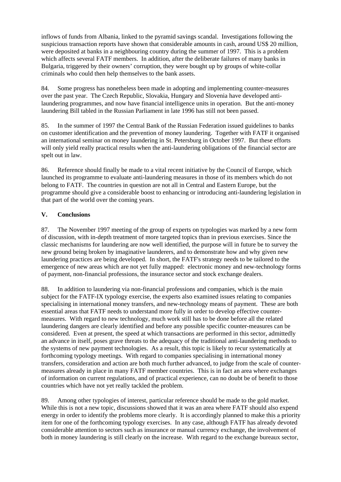inflows of funds from Albania, linked to the pyramid savings scandal. Investigations following the suspicious transaction reports have shown that considerable amounts in cash, around US\$ 20 million, were deposited at banks in a neighbouring country during the summer of 1997. This is a problem which affects several FATF members. In addition, after the deliberate failures of many banks in Bulgaria, triggered by their owners' corruption, they were bought up by groups of white-collar criminals who could then help themselves to the bank assets.

84. Some progress has nonetheless been made in adopting and implementing counter-measures over the past year. The Czech Republic, Slovakia, Hungary and Slovenia have developed antilaundering programmes, and now have financial intelligence units in operation. But the anti-money laundering Bill tabled in the Russian Parliament in late 1996 has still not been passed.

85. In the summer of 1997 the Central Bank of the Russian Federation issued guidelines to banks on customer identification and the prevention of money laundering. Together with FATF it organised an international seminar on money laundering in St. Petersburg in October 1997. But these efforts will only yield really practical results when the anti-laundering obligations of the financial sector are spelt out in law.

86. Reference should finally be made to a vital recent initiative by the Council of Europe, which launched its programme to evaluate anti-laundering measures in those of its members which do not belong to FATF. The countries in question are not all in Central and Eastern Europe, but the programme should give a considerable boost to enhancing or introducing anti-laundering legislation in that part of the world over the coming years.

# **V. Conclusions**

87. The November 1997 meeting of the group of experts on typologies was marked by a new form of discussion, with in-depth treatment of more targeted topics than in previous exercises. Since the classic mechanisms for laundering are now well identified, the purpose will in future be to survey the new ground being broken by imaginative launderers, and to demonstrate how and why given new laundering practices are being developed. In short, the FATF's strategy needs to be tailored to the emergence of new areas which are not yet fully mapped: electronic money and new-technology forms of payment, non-financial professions, the insurance sector and stock exchange dealers.

88. In addition to laundering via non-financial professions and companies, which is the main subject for the FATF-IX typology exercise, the experts also examined issues relating to companies specialising in international money transfers, and new-technology means of payment. These are both essential areas that FATF needs to understand more fully in order to develop effective countermeasures. With regard to new technology, much work still has to be done before all the related laundering dangers are clearly identified and before any possible specific counter-measures can be considered. Even at present, the speed at which transactions are performed in this sector, admittedly an advance in itself, poses grave threats to the adequacy of the traditional anti-laundering methods to the systems of new payment technologies. As a result, this topic is likely to recur systematically at forthcoming typology meetings. With regard to companies specialising in international money transfers, consideration and action are both much further advanced, to judge from the scale of countermeasures already in place in many FATF member countries. This is in fact an area where exchanges of information on current regulations, and of practical experience, can no doubt be of benefit to those countries which have not yet really tackled the problem.

89. Among other typologies of interest, particular reference should be made to the gold market. While this is not a new topic, discussions showed that it was an area where FATF should also expend energy in order to identify the problems more clearly. It is accordingly planned to make this a priority item for one of the forthcoming typology exercises. In any case, although FATF has already devoted considerable attention to sectors such as insurance or manual currency exchange, the involvement of both in money laundering is still clearly on the increase. With regard to the exchange bureaux sector,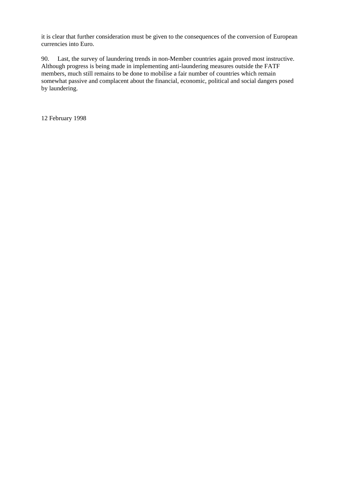it is clear that further consideration must be given to the consequences of the conversion of European currencies into Euro.

90. Last, the survey of laundering trends in non-Member countries again proved most instructive. Although progress is being made in implementing anti-laundering measures outside the FATF members, much still remains to be done to mobilise a fair number of countries which remain somewhat passive and complacent about the financial, economic, political and social dangers posed by laundering.

12 February 1998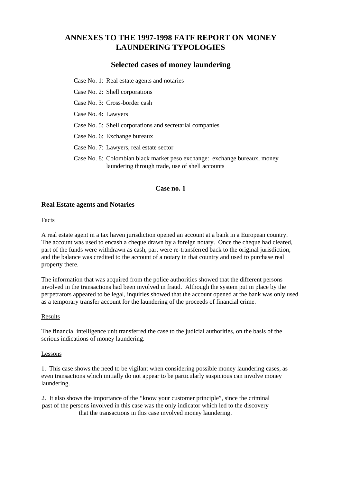# **ANNEXES TO THE 1997-1998 FATF REPORT ON MONEY LAUNDERING TYPOLOGIES**

# **Selected cases of money laundering**

Case No. 1: Real estate agents and notaries

Case No. 2: Shell corporations

Case No. 3: Cross-border cash

Case No. 4: Lawyers

Case No. 5: Shell corporations and secretarial companies

Case No. 6: Exchange bureaux

Case No. 7: Lawyers, real estate sector

Case No. 8: Colombian black market peso exchange: exchange bureaux, money laundering through trade, use of shell accounts

#### **Case no. 1**

#### **Real Estate agents and Notaries**

#### Facts

A real estate agent in a tax haven jurisdiction opened an account at a bank in a European country. The account was used to encash a cheque drawn by a foreign notary. Once the cheque had cleared, part of the funds were withdrawn as cash, part were re-transferred back to the original jurisdiction, and the balance was credited to the account of a notary in that country and used to purchase real property there.

The information that was acquired from the police authorities showed that the different persons involved in the transactions had been involved in fraud. Although the system put in place by the perpetrators appeared to be legal, inquiries showed that the account opened at the bank was only used as a temporary transfer account for the laundering of the proceeds of financial crime.

#### Results

The financial intelligence unit transferred the case to the judicial authorities, on the basis of the serious indications of money laundering.

#### Lessons

1. This case shows the need to be vigilant when considering possible money laundering cases, as even transactions which initially do not appear to be particularly suspicious can involve money laundering.

2. It also shows the importance of the "know your customer principle", since the criminal past of the persons involved in this case was the only indicator which led to the discovery that the transactions in this case involved money laundering.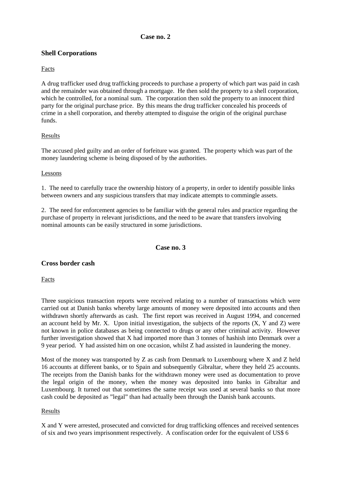# **Case no. 2**

# **Shell Corporations**

# Facts

A drug trafficker used drug trafficking proceeds to purchase a property of which part was paid in cash and the remainder was obtained through a mortgage. He then sold the property to a shell corporation, which he controlled, for a nominal sum. The corporation then sold the property to an innocent third party for the original purchase price. By this means the drug trafficker concealed his proceeds of crime in a shell corporation, and thereby attempted to disguise the origin of the original purchase funds.

# Results

The accused pled guilty and an order of forfeiture was granted. The property which was part of the money laundering scheme is being disposed of by the authorities.

#### Lessons

1. The need to carefully trace the ownership history of a property, in order to identify possible links between owners and any suspicious transfers that may indicate attempts to commingle assets.

2. The need for enforcement agencies to be familiar with the general rules and practice regarding the purchase of property in relevant jurisdictions, and the need to be aware that transfers involving nominal amounts can be easily structured in some jurisdictions.

# **Case no. 3**

#### **Cross border cash**

Facts

Three suspicious transaction reports were received relating to a number of transactions which were carried out at Danish banks whereby large amounts of money were deposited into accounts and then withdrawn shortly afterwards as cash. The first report was received in August 1994, and concerned an account held by Mr. X. Upon initial investigation, the subjects of the reports  $(X, Y, Z)$  were not known in police databases as being connected to drugs or any other criminal activity. However further investigation showed that X had imported more than 3 tonnes of hashish into Denmark over a 9 year period. Y had assisted him on one occasion, whilst Z had assisted in laundering the money.

Most of the money was transported by Z as cash from Denmark to Luxembourg where X and Z held 16 accounts at different banks, or to Spain and subsequently Gibraltar, where they held 25 accounts. The receipts from the Danish banks for the withdrawn money were used as documentation to prove the legal origin of the money, when the money was deposited into banks in Gibraltar and Luxembourg. It turned out that sometimes the same receipt was used at several banks so that more cash could be deposited as "legal" than had actually been through the Danish bank accounts.

# Results

X and Y were arrested, prosecuted and convicted for drug trafficking offences and received sentences of six and two years imprisonment respectively. A confiscation order for the equivalent of US\$ 6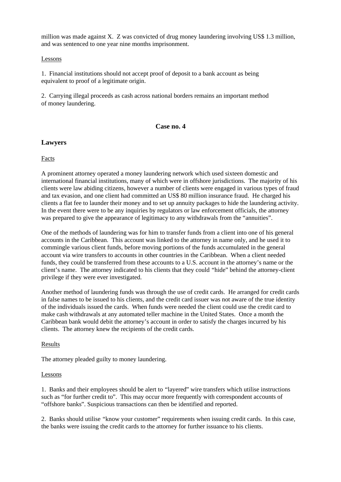million was made against X. Z was convicted of drug money laundering involving US\$ 1.3 million, and was sentenced to one year nine months imprisonment.

#### Lessons

1. Financial institutions should not accept proof of deposit to a bank account as being equivalent to proof of a legitimate origin.

2. Carrying illegal proceeds as cash across national borders remains an important method of money laundering.

#### **Case no. 4**

# **Lawyers**

**Facts** 

A prominent attorney operated a money laundering network which used sixteen domestic and international financial institutions, many of which were in offshore jurisdictions. The majority of his clients were law abiding citizens, however a number of clients were engaged in various types of fraud and tax evasion, and one client had committed an US\$ 80 million insurance fraud. He charged his clients a flat fee to launder their money and to set up annuity packages to hide the laundering activity. In the event there were to be any inquiries by regulators or law enforcement officials, the attorney was prepared to give the appearance of legitimacy to any withdrawals from the "annuities".

One of the methods of laundering was for him to transfer funds from a client into one of his general accounts in the Caribbean. This account was linked to the attorney in name only, and he used it to commingle various client funds, before moving portions of the funds accumulated in the general account via wire transfers to accounts in other countries in the Caribbean. When a client needed funds, they could be transferred from these accounts to a U.S. account in the attorney's name or the client's name. The attorney indicated to his clients that they could "hide" behind the attorney-client privilege if they were ever investigated.

Another method of laundering funds was through the use of credit cards. He arranged for credit cards in false names to be issued to his clients, and the credit card issuer was not aware of the true identity of the individuals issued the cards. When funds were needed the client could use the credit card to make cash withdrawals at any automated teller machine in the United States. Once a month the Caribbean bank would debit the attorney's account in order to satisfy the charges incurred by his clients. The attorney knew the recipients of the credit cards.

#### Results

The attorney pleaded guilty to money laundering.

#### Lessons

1. Banks and their employees should be alert to "layered" wire transfers which utilise instructions such as "for further credit to". This may occur more frequently with correspondent accounts of "offshore banks". Suspicious transactions can then be identified and reported.

2. Banks should utilise "know your customer" requirements when issuing credit cards. In this case, the banks were issuing the credit cards to the attorney for further issuance to his clients.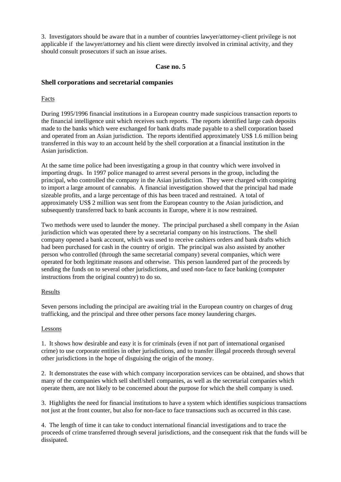3. Investigators should be aware that in a number of countries lawyer/attorney-client privilege is not applicable if the lawyer/attorney and his client were directly involved in criminal activity, and they should consult prosecutors if such an issue arises.

# **Case no. 5**

# **Shell corporations and secretarial companies**

# Facts

During 1995/1996 financial institutions in a European country made suspicious transaction reports to the financial intelligence unit which receives such reports. The reports identified large cash deposits made to the banks which were exchanged for bank drafts made payable to a shell corporation based and operated from an Asian jurisdiction. The reports identified approximately US\$ 1.6 million being transferred in this way to an account held by the shell corporation at a financial institution in the Asian jurisdiction.

At the same time police had been investigating a group in that country which were involved in importing drugs. In 1997 police managed to arrest several persons in the group, including the principal, who controlled the company in the Asian jurisdiction. They were charged with conspiring to import a large amount of cannabis. A financial investigation showed that the principal had made sizeable profits, and a large percentage of this has been traced and restrained. A total of approximately US\$ 2 million was sent from the European country to the Asian jurisdiction, and subsequently transferred back to bank accounts in Europe, where it is now restrained.

Two methods were used to launder the money. The principal purchased a shell company in the Asian jurisdiction which was operated there by a secretarial company on his instructions. The shell company opened a bank account, which was used to receive cashiers orders and bank drafts which had been purchased for cash in the country of origin. The principal was also assisted by another person who controlled (through the same secretarial company) several companies, which were operated for both legitimate reasons and otherwise. This person laundered part of the proceeds by sending the funds on to several other jurisdictions, and used non-face to face banking (computer instructions from the original country) to do so.

#### Results

Seven persons including the principal are awaiting trial in the European country on charges of drug trafficking, and the principal and three other persons face money laundering charges.

#### Lessons

1. It shows how desirable and easy it is for criminals (even if not part of international organised crime) to use corporate entities in other jurisdictions, and to transfer illegal proceeds through several other jurisdictions in the hope of disguising the origin of the money.

2. It demonstrates the ease with which company incorporation services can be obtained, and shows that many of the companies which sell shelf/shell companies, as well as the secretarial companies which operate them, are not likely to be concerned about the purpose for which the shell company is used.

3. Highlights the need for financial institutions to have a system which identifies suspicious transactions not just at the front counter, but also for non-face to face transactions such as occurred in this case.

4. The length of time it can take to conduct international financial investigations and to trace the proceeds of crime transferred through several jurisdictions, and the consequent risk that the funds will be dissipated.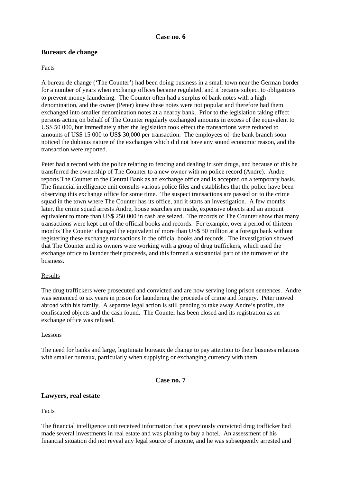#### **Case no. 6**

# **Bureaux de change**

#### Facts

A bureau de change ('The Counter') had been doing business in a small town near the German border for a number of years when exchange offices became regulated, and it became subject to obligations to prevent money laundering. The Counter often had a surplus of bank notes with a high denomination, and the owner (Peter) knew these notes were not popular and therefore had them exchanged into smaller denomination notes at a nearby bank. Prior to the legislation taking effect persons acting on behalf of The Counter regularly exchanged amounts in excess of the equivalent to US\$ 50 000, but immediately after the legislation took effect the transactions were reduced to amounts of US\$ 15 000 to US\$ 30,000 per transaction. The employees of the bank branch soon noticed the dubious nature of the exchanges which did not have any sound economic reason, and the transaction were reported.

Peter had a record with the police relating to fencing and dealing in soft drugs, and because of this he transferred the ownership of The Counter to a new owner with no police record (Andre). Andre reports The Counter to the Central Bank as an exchange office and is accepted on a temporary basis. The financial intelligence unit consults various police files and establishes that the police have been observing this exchange office for some time. The suspect transactions are passed on to the crime squad in the town where The Counter has its office, and it starts an investigation. A few months later, the crime squad arrests Andre, house searches are made, expensive objects and an amount equivalent to more than US\$ 250 000 in cash are seized. The records of The Counter show that many transactions were kept out of the official books and records. For example, over a period of thirteen months The Counter changed the equivalent of more than US\$ 50 million at a foreign bank without registering these exchange transactions in the official books and records. The investigation showed that The Counter and its owners were working with a group of drug traffickers, which used the exchange office to launder their proceeds, and this formed a substantial part of the turnover of the business.

#### Results

The drug traffickers were prosecuted and convicted and are now serving long prison sentences. Andre was sentenced to six years in prison for laundering the proceeds of crime and forgery. Peter moved abroad with his family. A separate legal action is still pending to take away Andre's profits, the confiscated objects and the cash found. The Counter has been closed and its registration as an exchange office was refused.

#### Lessons

The need for banks and large, legitimate bureaux de change to pay attention to their business relations with smaller bureaux, particularly when supplying or exchanging currency with them.

# **Case no. 7**

#### **Lawyers, real estate**

Facts

The financial intelligence unit received information that a previously convicted drug trafficker had made several investments in real estate and was planing to buy a hotel. An assessment of his financial situation did not reveal any legal source of income, and he was subsequently arrested and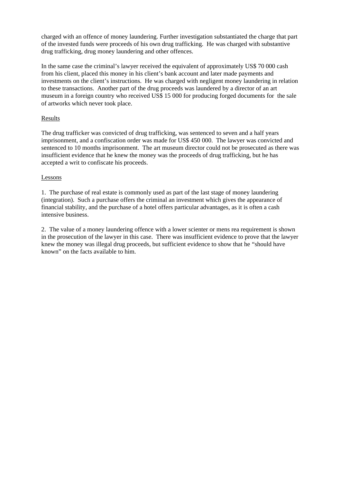charged with an offence of money laundering. Further investigation substantiated the charge that part of the invested funds were proceeds of his own drug trafficking. He was charged with substantive drug trafficking, drug money laundering and other offences.

In the same case the criminal's lawyer received the equivalent of approximately US\$ 70 000 cash from his client, placed this money in his client's bank account and later made payments and investments on the client's instructions. He was charged with negligent money laundering in relation to these transactions. Another part of the drug proceeds was laundered by a director of an art museum in a foreign country who received US\$ 15 000 for producing forged documents for the sale of artworks which never took place.

# Results

The drug trafficker was convicted of drug trafficking, was sentenced to seven and a half years imprisonment, and a confiscation order was made for US\$ 450 000. The lawyer was convicted and sentenced to 10 months imprisonment. The art museum director could not be prosecuted as there was insufficient evidence that he knew the money was the proceeds of drug trafficking, but he has accepted a writ to confiscate his proceeds.

# Lessons

1. The purchase of real estate is commonly used as part of the last stage of money laundering (integration). Such a purchase offers the criminal an investment which gives the appearance of financial stability, and the purchase of a hotel offers particular advantages, as it is often a cash intensive business.

2. The value of a money laundering offence with a lower scienter or mens rea requirement is shown in the prosecution of the lawyer in this case. There was insufficient evidence to prove that the lawyer knew the money was illegal drug proceeds, but sufficient evidence to show that he "should have known" on the facts available to him.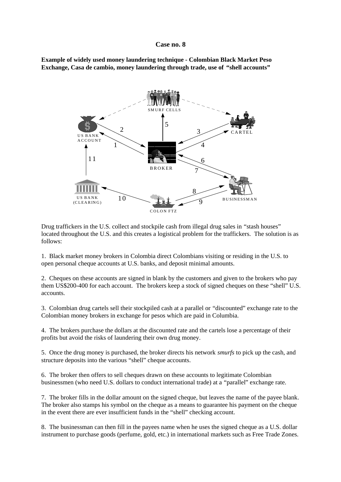#### **Case no. 8**

**Example of widely used money laundering technique - Colombian Black Market Peso Exchange, Casa de cambio, money laundering through trade, use of "shell accounts"**



Drug traffickers in the U.S. collect and stockpile cash from illegal drug sales in "stash houses" located throughout the U.S. and this creates a logistical problem for the traffickers. The solution is as follows:

1. Black market money brokers in Colombia direct Colombians visiting or residing in the U.S. to open personal cheque accounts at U.S. banks, and deposit minimal amounts.

2. Cheques on these accounts are signed in blank by the customers and given to the brokers who pay them US\$200-400 for each account. The brokers keep a stock of signed cheques on these "shell" U.S. accounts.

3. Colombian drug cartels sell their stockpiled cash at a parallel or "discounted" exchange rate to the Colombian money brokers in exchange for pesos which are paid in Columbia.

4. The brokers purchase the dollars at the discounted rate and the cartels lose a percentage of their profits but avoid the risks of laundering their own drug money.

5. Once the drug money is purchased, the broker directs his network *smurfs* to pick up the cash, and structure deposits into the various "shell" cheque accounts.

6. The broker then offers to sell cheques drawn on these accounts to legitimate Colombian businessmen (who need U.S. dollars to conduct international trade) at a "parallel" exchange rate.

7. The broker fills in the dollar amount on the signed cheque, but leaves the name of the payee blank. The broker also stamps his symbol on the cheque as a means to guarantee his payment on the cheque in the event there are ever insufficient funds in the "shell" checking account.

8. The businessman can then fill in the payees name when he uses the signed cheque as a U.S. dollar instrument to purchase goods (perfume, gold, etc.) in international markets such as Free Trade Zones.